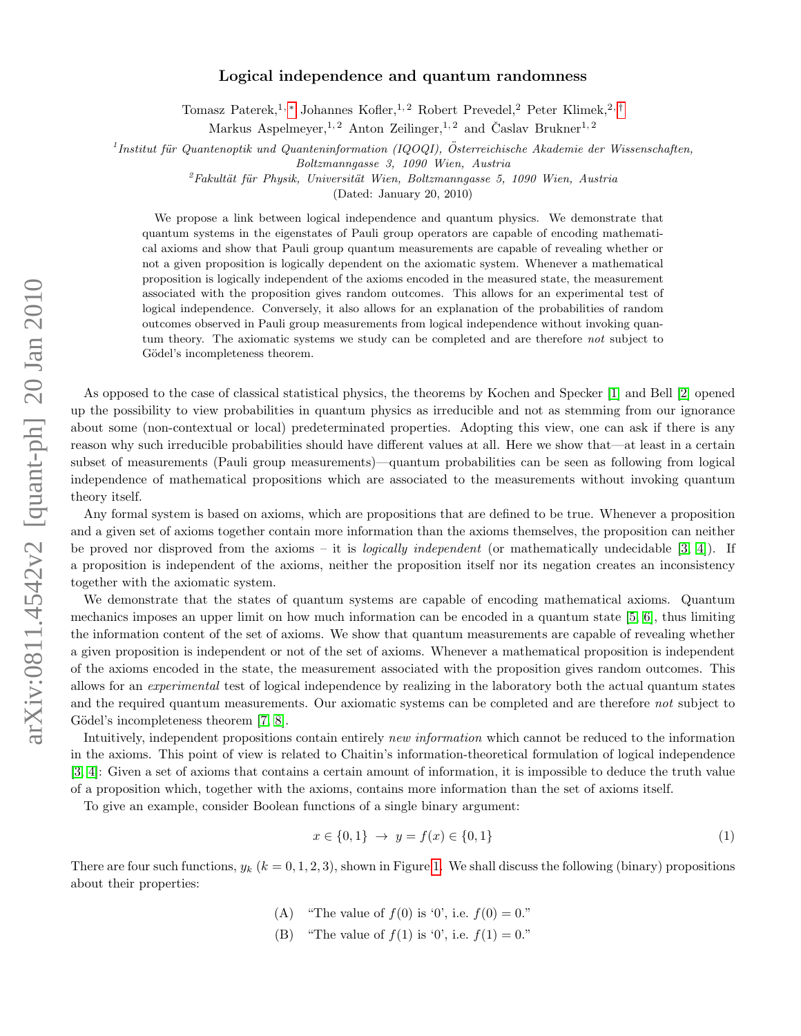## Logical independence and quantum randomness

Tomasz Paterek,<sup>1,\*</sup> Johannes Kofler,<sup>1,2</sup> Robert Prevedel,<sup>2</sup> Peter Klimek,<sup>2,[†](#page-8-1)</sup>

Markus Aspelmeyer,<sup>1, 2</sup> Anton Zeilinger,<sup>1, 2</sup> and Časlav Brukner<sup>1, 2</sup>

 $^{1}$ Institut für Quantenoptik und Quanteninformation (IQOQI), Österreichische Akademie der Wissenschaften,

Boltzmanngasse 3, 1090 Wien, Austria

 ${}^{2}Fakultät$  für Physik, Universität Wien, Boltzmanngasse 5, 1090 Wien, Austria

(Dated: January 20, 2010)

We propose a link between logical independence and quantum physics. We demonstrate that quantum systems in the eigenstates of Pauli group operators are capable of encoding mathematical axioms and show that Pauli group quantum measurements are capable of revealing whether or not a given proposition is logically dependent on the axiomatic system. Whenever a mathematical proposition is logically independent of the axioms encoded in the measured state, the measurement associated with the proposition gives random outcomes. This allows for an experimental test of logical independence. Conversely, it also allows for an explanation of the probabilities of random outcomes observed in Pauli group measurements from logical independence without invoking quantum theory. The axiomatic systems we study can be completed and are therefore not subject to Gödel's incompleteness theorem.

As opposed to the case of classical statistical physics, the theorems by Kochen and Specker [\[1\]](#page-8-2) and Bell [\[2\]](#page-8-3) opened up the possibility to view probabilities in quantum physics as irreducible and not as stemming from our ignorance about some (non-contextual or local) predeterminated properties. Adopting this view, one can ask if there is any reason why such irreducible probabilities should have different values at all. Here we show that—at least in a certain subset of measurements (Pauli group measurements)—quantum probabilities can be seen as following from logical independence of mathematical propositions which are associated to the measurements without invoking quantum theory itself.

Any formal system is based on axioms, which are propositions that are defined to be true. Whenever a proposition and a given set of axioms together contain more information than the axioms themselves, the proposition can neither be proved nor disproved from the axioms – it is *logically independent* (or mathematically undecidable  $[3, 4]$  $[3, 4]$ ). If a proposition is independent of the axioms, neither the proposition itself nor its negation creates an inconsistency together with the axiomatic system.

We demonstrate that the states of quantum systems are capable of encoding mathematical axioms. Quantum mechanics imposes an upper limit on how much information can be encoded in a quantum state [\[5,](#page-8-6) [6\]](#page-8-7), thus limiting the information content of the set of axioms. We show that quantum measurements are capable of revealing whether a given proposition is independent or not of the set of axioms. Whenever a mathematical proposition is independent of the axioms encoded in the state, the measurement associated with the proposition gives random outcomes. This allows for an experimental test of logical independence by realizing in the laboratory both the actual quantum states and the required quantum measurements. Our axiomatic systems can be completed and are therefore not subject to Gödel's incompleteness theorem [\[7,](#page-8-8) [8\]](#page-8-9).

Intuitively, independent propositions contain entirely new information which cannot be reduced to the information in the axioms. This point of view is related to Chaitin's information-theoretical formulation of logical independence [\[3,](#page-8-4) [4\]](#page-8-5): Given a set of axioms that contains a certain amount of information, it is impossible to deduce the truth value of a proposition which, together with the axioms, contains more information than the set of axioms itself.

To give an example, consider Boolean functions of a single binary argument:

$$
x \in \{0, 1\} \to y = f(x) \in \{0, 1\} \tag{1}
$$

There are four such functions,  $y_k$   $(k = 0, 1, 2, 3)$ , shown in Figure [1.](#page-1-0) We shall discuss the following (binary) propositions about their properties:

- (A) "The value of  $f(0)$  is '0', i.e.  $f(0) = 0$ ."
- (B) "The value of  $f(1)$  is '0', i.e.  $f(1) = 0$ ."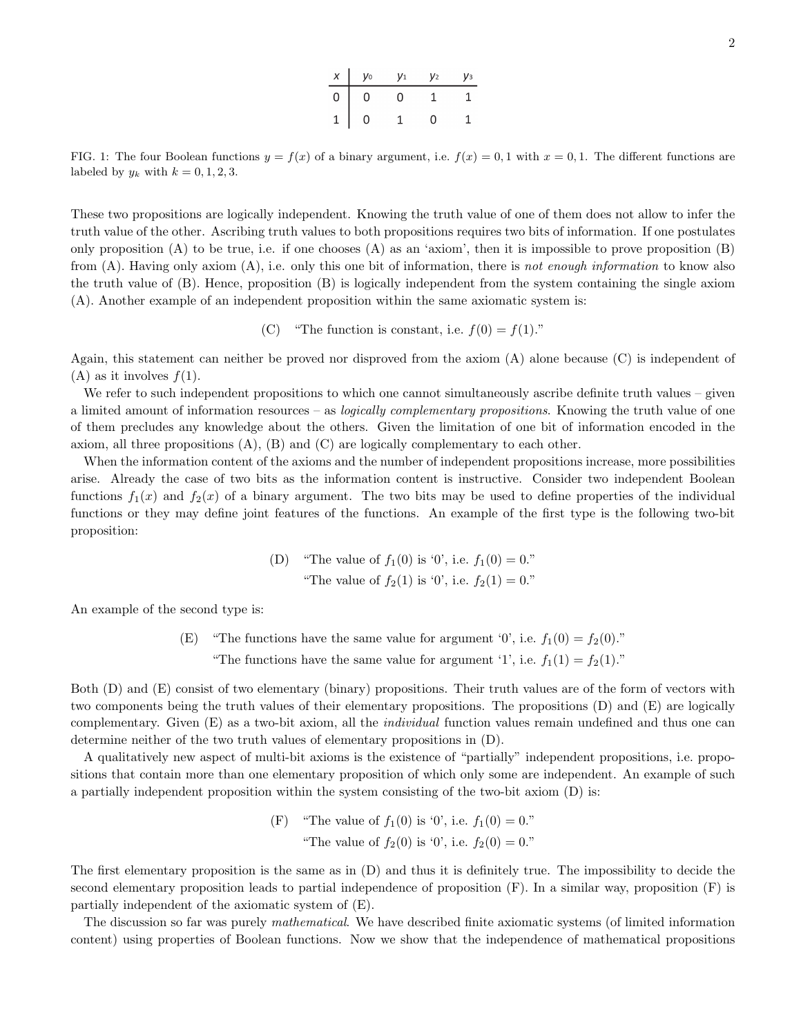| X | Vo | V1 | V <sub>2</sub> | Vз |
|---|----|----|----------------|----|
| 0 | Ω  | 0  |                |    |
|   | n  |    | ٦              |    |

<span id="page-1-0"></span>FIG. 1: The four Boolean functions  $y = f(x)$  of a binary argument, i.e.  $f(x) = 0, 1$  with  $x = 0, 1$ . The different functions are labeled by  $y_k$  with  $k = 0, 1, 2, 3$ .

These two propositions are logically independent. Knowing the truth value of one of them does not allow to infer the truth value of the other. Ascribing truth values to both propositions requires two bits of information. If one postulates only proposition  $(A)$  to be true, i.e. if one chooses  $(A)$  as an 'axiom', then it is impossible to prove proposition  $(B)$ from  $(A)$ . Having only axiom  $(A)$ , i.e. only this one bit of information, there is not enough information to know also the truth value of (B). Hence, proposition (B) is logically independent from the system containing the single axiom (A). Another example of an independent proposition within the same axiomatic system is:

(C) "The function is constant, i.e.  $f(0) = f(1)$ ."

Again, this statement can neither be proved nor disproved from the axiom (A) alone because (C) is independent of  $(A)$  as it involves  $f(1)$ .

We refer to such independent propositions to which one cannot simultaneously ascribe definite truth values – given a limited amount of information resources – as logically complementary propositions. Knowing the truth value of one of them precludes any knowledge about the others. Given the limitation of one bit of information encoded in the axiom, all three propositions  $(A)$ ,  $(B)$  and  $(C)$  are logically complementary to each other.

When the information content of the axioms and the number of independent propositions increase, more possibilities arise. Already the case of two bits as the information content is instructive. Consider two independent Boolean functions  $f_1(x)$  and  $f_2(x)$  of a binary argument. The two bits may be used to define properties of the individual functions or they may define joint features of the functions. An example of the first type is the following two-bit proposition:

> (D) "The value of  $f_1(0)$  is '0', i.e.  $f_1(0) = 0$ ." "The value of  $f_2(1)$  is '0', i.e.  $f_2(1) = 0$ ."

An example of the second type is:

(E) "The functions have the same value for argument '0', i.e.  $f_1(0) = f_2(0)$ ." "The functions have the same value for argument '1', i.e.  $f_1(1) = f_2(1)$ ."

Both (D) and (E) consist of two elementary (binary) propositions. Their truth values are of the form of vectors with two components being the truth values of their elementary propositions. The propositions (D) and (E) are logically complementary. Given (E) as a two-bit axiom, all the *individual* function values remain undefined and thus one can determine neither of the two truth values of elementary propositions in (D).

A qualitatively new aspect of multi-bit axioms is the existence of "partially" independent propositions, i.e. propositions that contain more than one elementary proposition of which only some are independent. An example of such a partially independent proposition within the system consisting of the two-bit axiom (D) is:

> (F) "The value of  $f_1(0)$  is '0', i.e.  $f_1(0) = 0$ ." "The value of  $f_2(0)$  is '0', i.e.  $f_2(0) = 0$ ."

The first elementary proposition is the same as in (D) and thus it is definitely true. The impossibility to decide the second elementary proposition leads to partial independence of proposition  $(F)$ . In a similar way, proposition  $(F)$  is partially independent of the axiomatic system of (E).

The discussion so far was purely *mathematical*. We have described finite axiomatic systems (of limited information content) using properties of Boolean functions. Now we show that the independence of mathematical propositions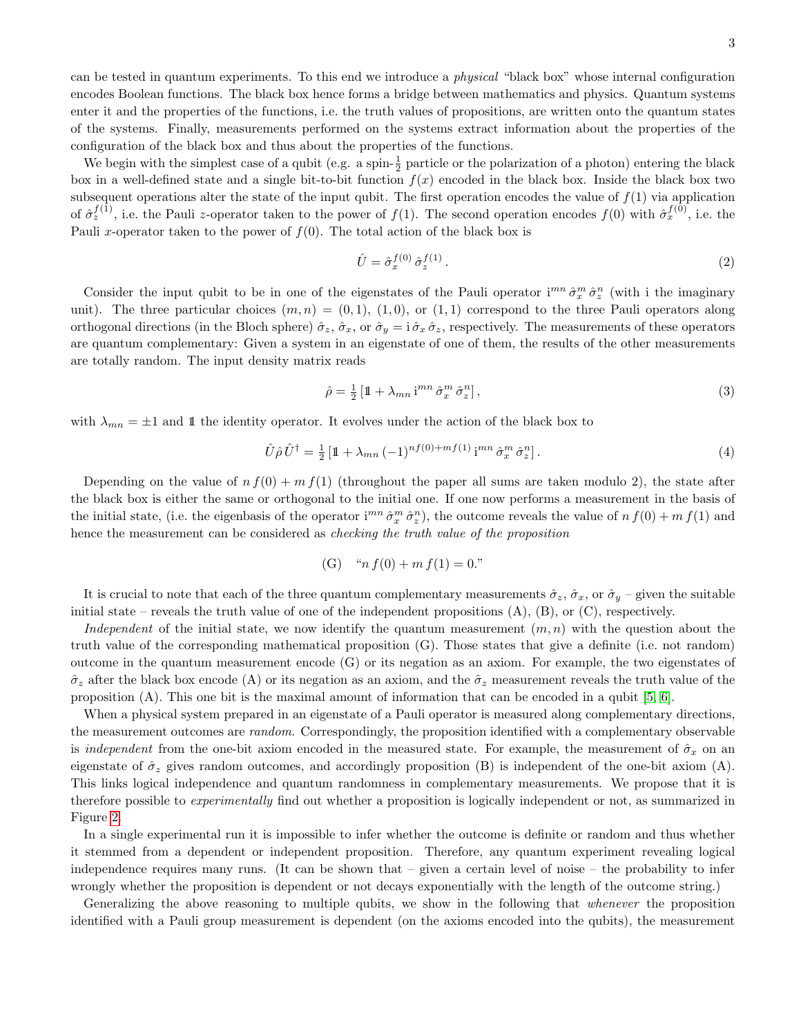can be tested in quantum experiments. To this end we introduce a physical "black box" whose internal configuration encodes Boolean functions. The black box hence forms a bridge between mathematics and physics. Quantum systems enter it and the properties of the functions, i.e. the truth values of propositions, are written onto the quantum states of the systems. Finally, measurements performed on the systems extract information about the properties of the configuration of the black box and thus about the properties of the functions.

We begin with the simplest case of a qubit (e.g. a spin- $\frac{1}{2}$  particle or the polarization of a photon) entering the black box in a well-defined state and a single bit-to-bit function  $f(x)$  encoded in the black box. Inside the black box two subsequent operations alter the state of the input qubit. The first operation encodes the value of  $f(1)$  via application of  $\hat{\sigma}_z^{f(1)}$ , i.e. the Pauli z-operator taken to the power of  $f(1)$ . The second operation encodes  $f(0)$  with  $\hat{\sigma}_x^{f(0)}$ , i.e. the Pauli x-operator taken to the power of  $f(0)$ . The total action of the black box is

<span id="page-2-0"></span>
$$
\hat{U} = \hat{\sigma}_x^{f(0)} \hat{\sigma}_z^{f(1)}.
$$
\n<sup>(2)</sup>

Consider the input qubit to be in one of the eigenstates of the Pauli operator  $i^{mn}\hat{\sigma}_x^m\hat{\sigma}_z^n$  (with i the imaginary unit). The three particular choices  $(m, n) = (0, 1), (1, 0),$  or  $(1, 1)$  correspond to the three Pauli operators along orthogonal directions (in the Bloch sphere)  $\hat{\sigma}_z$ ,  $\hat{\sigma}_x$ , or  $\hat{\sigma}_y = i \hat{\sigma}_x \hat{\sigma}_z$ , respectively. The measurements of these operators are quantum complementary: Given a system in an eigenstate of one of them, the results of the other measurements are totally random. The input density matrix reads

$$
\hat{\rho} = \frac{1}{2} \left[ \mathbb{1} + \lambda_{mn} \, \mathbf{i}^{mn} \, \hat{\sigma}_x^m \, \hat{\sigma}_z^n \right],\tag{3}
$$

with  $\lambda_{mn} = \pm 1$  and 1 the identity operator. It evolves under the action of the black box to

$$
\hat{U}\hat{\rho}\hat{U}^{\dagger} = \frac{1}{2} \left[ \mathbb{1} + \lambda_{mn} \left( -1 \right)^{nf(0) + mf(1)} \mathbb{i}^{mn} \hat{\sigma}_x^m \hat{\sigma}_z^n \right]. \tag{4}
$$

Depending on the value of  $n f(0) + m f(1)$  (throughout the paper all sums are taken modulo 2), the state after the black box is either the same or orthogonal to the initial one. If one now performs a measurement in the basis of the initial state, (i.e. the eigenbasis of the operator  $i^{mn}\hat{\sigma}_x^m\hat{\sigma}_z^n$ ), the outcome reveals the value of  $nf(0) + mf(1)$  and hence the measurement can be considered as checking the truth value of the proposition

(G) "
$$
nf(0) + mf(1) = 0
$$
."

It is crucial to note that each of the three quantum complementary measurements  $\hat{\sigma}_z$ ,  $\hat{\sigma}_x$ , or  $\hat{\sigma}_y$  – given the suitable initial state – reveals the truth value of one of the independent propositions  $(A)$ ,  $(B)$ , or  $(C)$ , respectively.

Independent of the initial state, we now identify the quantum measurement  $(m, n)$  with the question about the truth value of the corresponding mathematical proposition (G). Those states that give a definite (i.e. not random) outcome in the quantum measurement encode (G) or its negation as an axiom. For example, the two eigenstates of  $\hat{\sigma}_z$  after the black box encode (A) or its negation as an axiom, and the  $\hat{\sigma}_z$  measurement reveals the truth value of the proposition (A). This one bit is the maximal amount of information that can be encoded in a qubit [\[5,](#page-8-6) [6\]](#page-8-7).

When a physical system prepared in an eigenstate of a Pauli operator is measured along complementary directions, the measurement outcomes are *random*. Correspondingly, the proposition identified with a complementary observable is independent from the one-bit axiom encoded in the measured state. For example, the measurement of  $\hat{\sigma}_x$  on an eigenstate of  $\hat{\sigma}_z$  gives random outcomes, and accordingly proposition (B) is independent of the one-bit axiom (A). This links logical independence and quantum randomness in complementary measurements. We propose that it is therefore possible to experimentally find out whether a proposition is logically independent or not, as summarized in Figure [2.](#page-3-0)

In a single experimental run it is impossible to infer whether the outcome is definite or random and thus whether it stemmed from a dependent or independent proposition. Therefore, any quantum experiment revealing logical independence requires many runs. (It can be shown that  $-$  given a certain level of noise  $-$  the probability to infer wrongly whether the proposition is dependent or not decays exponentially with the length of the outcome string.)

Generalizing the above reasoning to multiple qubits, we show in the following that whenever the proposition identified with a Pauli group measurement is dependent (on the axioms encoded into the qubits), the measurement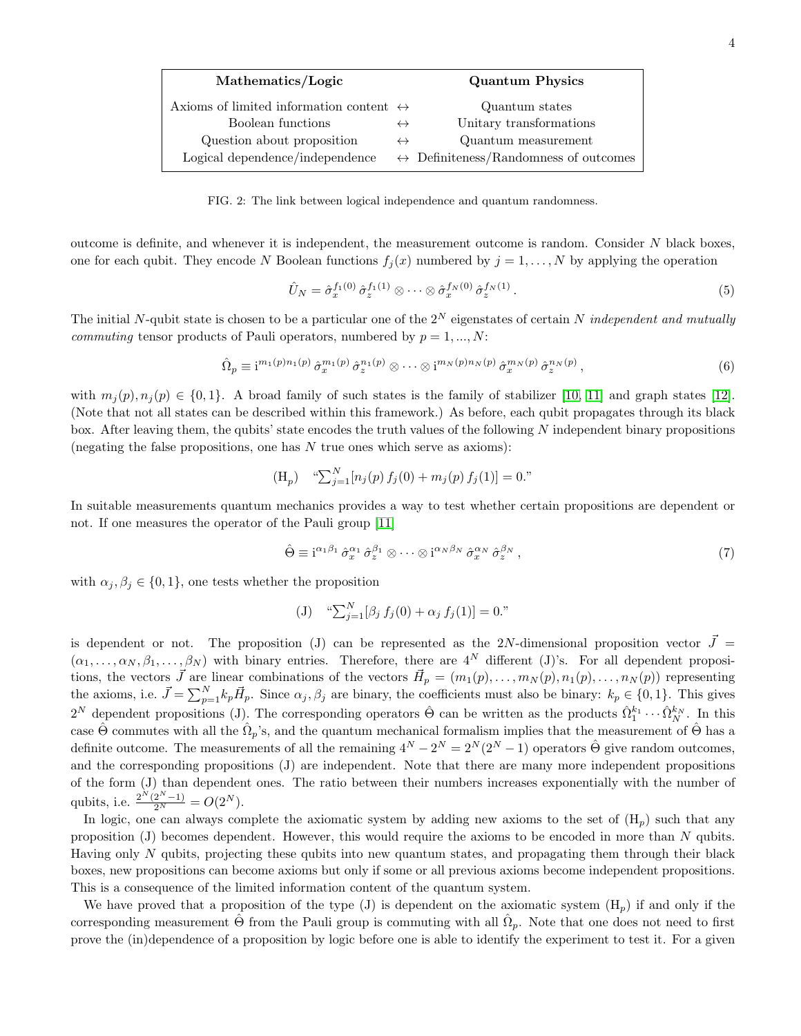4

| Mathematics/Logic                                       |                   | <b>Quantum Physics</b>                                |
|---------------------------------------------------------|-------------------|-------------------------------------------------------|
| Axioms of limited information content $\leftrightarrow$ |                   | Quantum states                                        |
| Boolean functions                                       | $\leftrightarrow$ | Unitary transformations                               |
| Question about proposition                              | $\leftrightarrow$ | Quantum measurement                                   |
| Logical dependence/independence                         |                   | $\leftrightarrow$ Definiteness/Randomness of outcomes |

FIG. 2: The link between logical independence and quantum randomness.

 $\mathcal{L}$  requires many runs. (It can be shown that  $\mathcal{L}$  is expected of noise – the probability to inferred of noise – the probability to inferred of noise – the probability to inferred of noise – the probability to in outcome is definite, and whenever it is independent, the measurement outcome is random. Consider  $N$  black boxes, one for each qubit. They encode N Boolean functions  $f_j(x)$  numbered by  $j = 1, ..., N$  by applying the operation

<span id="page-3-0"></span>
$$
\hat{U}_N = \hat{\sigma}_x^{f_1(0)} \hat{\sigma}_z^{f_1(1)} \otimes \cdots \otimes \hat{\sigma}_x^{f_N(0)} \hat{\sigma}_z^{f_N(1)}.
$$
\n
$$
(5)
$$

The initial N-qubit state is chosen to be a particular one of the  $2^N$  eigenstates of certain N *independent and mutually commuting* tensor products of Pauli operators, numbered by  $p = 1, ..., N$ :

$$
\hat{\Omega}_p \equiv \mathbf{i}^{m_1(p)n_1(p)} \hat{\sigma}_x^{m_1(p)} \hat{\sigma}_z^{n_1(p)} \otimes \cdots \otimes \mathbf{i}^{m_N(p)n_N(p)} \hat{\sigma}_x^{m_N(p)} \hat{\sigma}_z^{n_N(p)}, \qquad (6)
$$

with  $m_i(p), n_i(p) \in \{0, 1\}$ . A broad family of such states is the family of stabilizer [\[10,](#page-8-10) [11\]](#page-8-11) and graph states [\[12\]](#page-8-12). (Note that not all states can be described within this framework.) As before, each qubit propagates through its black box. After leaving them, the qubits' state encodes the truth values of the following N independent binary propositions (negating the false propositions, one has  $N$  true ones which serve as axioms):

$$
(\mathbf{H}_p) \quad \, \text{``}\sum_{j=1}^N [n_j(p) \, f_j(0) + m_j(p) \, f_j(1)] = 0.
$$
"

In suitable measurements quantum mechanics provides a way to test whether certain propositions are dependent or not. If one measures the operator of the Pauli group [\[11\]](#page-8-11)

$$
\hat{\Theta} \equiv i^{\alpha_1 \beta_1} \hat{\sigma}_x^{\alpha_1} \hat{\sigma}_z^{\beta_1} \otimes \cdots \otimes i^{\alpha_N \beta_N} \hat{\sigma}_x^{\alpha_N} \hat{\sigma}_z^{\beta_N}, \qquad (7)
$$

with  $\alpha_j, \beta_j \in \{0, 1\}$ , one tests whether the proposition

$$
(J) \quad \text{``}\sum_{j=1}^{N} [\beta_j f_j(0) + \alpha_j f_j(1)] = 0.
$$
"

is dependent or not. The proposition (J) can be represented as the 2N-dimensional proposition vector  $\vec{J}$  =  $(\alpha_1,\ldots,\alpha_N,\beta_1,\ldots,\beta_N)$  with binary entries. Therefore, there are  $4^N$  different (J)'s. For all dependent propositions, the vectors  $\vec{J}$  are linear combinations of the vectors  $\vec{H}_p = (m_1(p), \ldots, m_N(p), n_1(p), \ldots, n_N(p))$  representing the axioms, i.e.  $\vec{J} = \sum_{p=1}^{N} k_p \vec{H}_p$ . Since  $\alpha_j, \beta_j$  are binary, the coefficients must also be binary:  $k_p \in \{0, 1\}$ . This gives  $2^N$  dependent propositions (J). The corresponding operators  $\hat{\Theta}$  can be written as the products  $\hat{\Omega}_1^{k_1} \cdots \hat{\Omega}_N^{k_N}$ . In this case  $\hat{\Theta}$  commutes with all the  $\hat{\Omega}_p$ 's, and the quantum mechanical formalism implies that the measurement of  $\hat{\Theta}$  has a definite outcome. The measurements of all the remaining  $4^N - 2^N = 2^N(2^N - 1)$  operators  $\hat{\Theta}$  give random outcomes, and the corresponding propositions (J) are independent. Note that there are many more independent propositions of the form (J) than dependent ones. The ratio between their numbers increases exponentially with the number of qubits, i.e.  $\frac{2^N (2^N - 1)}{2^N} = O(2^N)$ .

In logic, one can always complete the axiomatic system by adding new axioms to the set of  $(H_p)$  such that any proposition (J) becomes dependent. However, this would require the axioms to be encoded in more than N qubits. Having only N qubits, projecting these qubits into new quantum states, and propagating them through their black boxes, new propositions can become axioms but only if some or all previous axioms become independent propositions. This is a consequence of the limited information content of the quantum system.

We have proved that a proposition of the type (J) is dependent on the axiomatic system  $(H_p)$  if and only if the corresponding measurement  $\hat{\Theta}$  from the Pauli group is commuting with all  $\hat{\Omega}_p$ . Note that one does not need to first prove the (in)dependence of a proposition by logic before one is able to identify the experiment to test it. For a given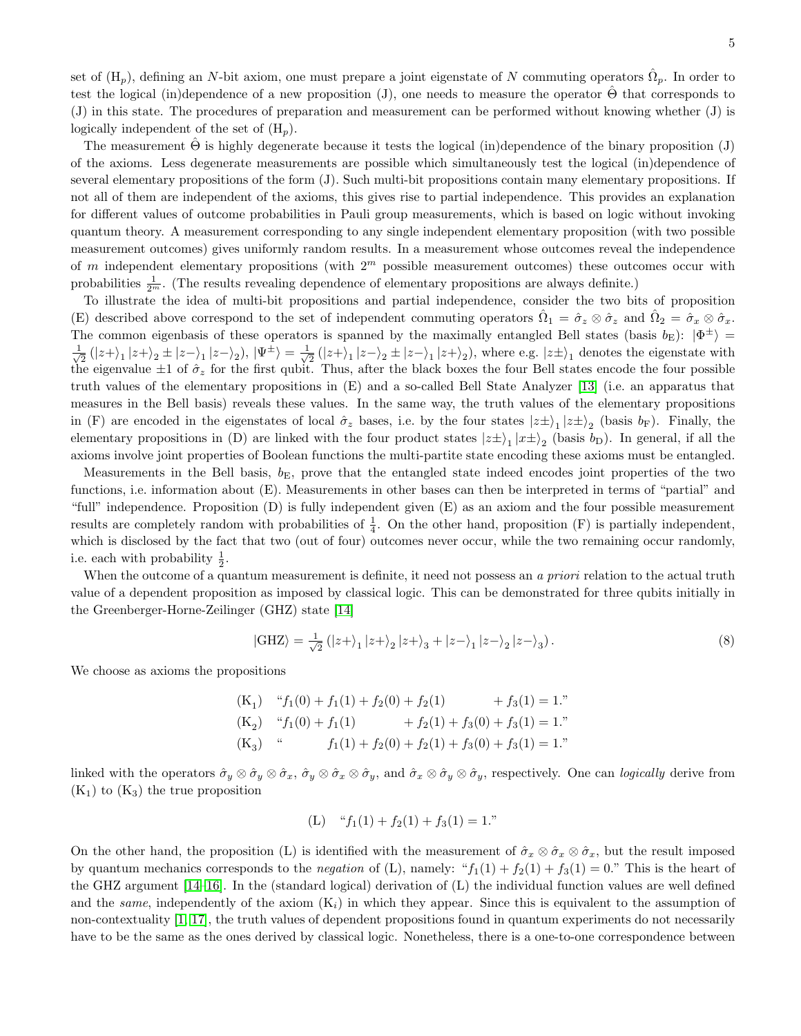set of  $(H_p)$ , defining an N-bit axiom, one must prepare a joint eigenstate of N commuting operators  $\hat{\Omega}_p$ . In order to test the logical (in)dependence of a new proposition (J), one needs to measure the operator  $\hat{\Theta}$  that corresponds to (J) in this state. The procedures of preparation and measurement can be performed without knowing whether (J) is logically independent of the set of  $(H_n)$ .

The measurement  $\Theta$  is highly degenerate because it tests the logical (in)dependence of the binary proposition (J) of the axioms. Less degenerate measurements are possible which simultaneously test the logical (in)dependence of several elementary propositions of the form (J). Such multi-bit propositions contain many elementary propositions. If not all of them are independent of the axioms, this gives rise to partial independence. This provides an explanation for different values of outcome probabilities in Pauli group measurements, which is based on logic without invoking quantum theory. A measurement corresponding to any single independent elementary proposition (with two possible measurement outcomes) gives uniformly random results. In a measurement whose outcomes reveal the independence of m independent elementary propositions (with  $2<sup>m</sup>$  possible measurement outcomes) these outcomes occur with probabilities  $\frac{1}{2^m}$ . (The results revealing dependence of elementary propositions are always definite.)

To illustrate the idea of multi-bit propositions and partial independence, consider the two bits of proposition (E) described above correspond to the set of independent commuting operators  $\hat{\Omega}_1 = \hat{\sigma}_z \otimes \hat{\sigma}_z$  and  $\hat{\Omega}_2 = \hat{\sigma}_x \otimes \hat{\sigma}_x$ . The common eigenbasis of these operators is spanned by the maximally entangled Bell states (basis  $b_{\rm E}$ ):  $|\Phi^{\pm}\rangle$  =  $\frac{1}{\sqrt{2}}(|z+\rangle_1|z+\rangle_2 \pm |z-\rangle_1|z-\rangle_2$ ),  $|\Psi^{\pm}\rangle = \frac{1}{\sqrt{2}}(|z+\rangle_1|z-\rangle_2 \pm |z-\rangle_1|z+\rangle_2$ ), where e.g.  $|z\pm\rangle_1$  denotes the eigenstate with  $\frac{\sqrt{2}}{2}$   $\frac{1}{2}$   $\frac{1}{2}$   $\frac{1}{2}$   $\frac{1}{2}$   $\frac{1}{2}$   $\frac{1}{2}$   $\frac{1}{2}$   $\frac{1}{2}$   $\frac{1}{2}$   $\frac{1}{2}$   $\frac{1}{2}$   $\frac{1}{2}$   $\frac{1}{2}$   $\frac{1}{2}$   $\frac{1}{2}$   $\frac{1}{2}$   $\frac{1}{2}$   $\frac{1}{2}$   $\frac{1}{2}$   $\frac{1}{2}$   $\frac{1}{2}$ truth values of the elementary propositions in (E) and a so-called Bell State Analyzer [\[13\]](#page-8-13) (i.e. an apparatus that measures in the Bell basis) reveals these values. In the same way, the truth values of the elementary propositions in (F) are encoded in the eigenstates of local  $\hat{\sigma}_z$  bases, i.e. by the four states  $|z\pm\rangle_1|z\pm\rangle_2$  (basis  $b_F$ ). Finally, the elementary propositions in (D) are linked with the four product states  $|z\pm\rangle_1 |x\pm\rangle_2$  (basis  $b_{\text{D}}$ ). In general, if all the axioms involve joint properties of Boolean functions the multi-partite state encoding these axioms must be entangled.

Measurements in the Bell basis,  $b<sub>E</sub>$ , prove that the entangled state indeed encodes joint properties of the two functions, i.e. information about (E). Measurements in other bases can then be interpreted in terms of "partial" and "full" independence. Proposition (D) is fully independent given (E) as an axiom and the four possible measurement results are completely random with probabilities of  $\frac{1}{4}$ . On the other hand, proposition (F) is partially independent, which is disclosed by the fact that two (out of four) outcomes never occur, while the two remaining occur randomly, i.e. each with probability  $\frac{1}{2}$ .

When the outcome of a quantum measurement is definite, it need not possess an a priori relation to the actual truth value of a dependent proposition as imposed by classical logic. This can be demonstrated for three qubits initially in the Greenberger-Horne-Zeilinger (GHZ) state [\[14\]](#page-8-14)

$$
|GHZ\rangle = \frac{1}{\sqrt{2}} (|z+\rangle_1 |z+\rangle_2 |z+\rangle_3 + |z-\rangle_1 |z-\rangle_2 |z-\rangle_3).
$$
\n(8)

We choose as axioms the propositions

(K<sub>1</sub>) "
$$
f_1(0) + f_1(1) + f_2(0) + f_2(1)
$$
  $+ f_3(1) = 1.$ "  
\n(K<sub>2</sub>) " $f_1(0) + f_1(1)$   $+ f_2(1) + f_3(0) + f_3(1) = 1.$ "  
\n(K<sub>3</sub>) " $f_1(1) + f_2(0) + f_2(1) + f_3(0) + f_3(1) = 1.$ "

linked with the operators  $\hat{\sigma}_y \otimes \hat{\sigma}_y \otimes \hat{\sigma}_x$ ,  $\hat{\sigma}_y \otimes \hat{\sigma}_x \otimes \hat{\sigma}_y$ , and  $\hat{\sigma}_x \otimes \hat{\sigma}_y \otimes \hat{\sigma}_y$ , respectively. One can logically derive from  $(K_1)$  to  $(K_3)$  the true proposition

(L) 
$$
{}^{4}f_{1}(1) + f_{2}(1) + f_{3}(1) = 1.
$$

On the other hand, the proposition (L) is identified with the measurement of  $\hat{\sigma}_x \otimes \hat{\sigma}_x \otimes \hat{\sigma}_x$ , but the result imposed by quantum mechanics corresponds to the negation of (L), namely: " $f_1(1) + f_2(1) + f_3(1) = 0$ ." This is the heart of the GHZ argument [\[14–](#page-8-14)[16\]](#page-8-15). In the (standard logical) derivation of (L) the individual function values are well defined and the *same*, independently of the axiom  $(K_i)$  in which they appear. Since this is equivalent to the assumption of non-contextuality [\[1,](#page-8-2) [17\]](#page-8-16), the truth values of dependent propositions found in quantum experiments do not necessarily have to be the same as the ones derived by classical logic. Nonetheless, there is a one-to-one correspondence between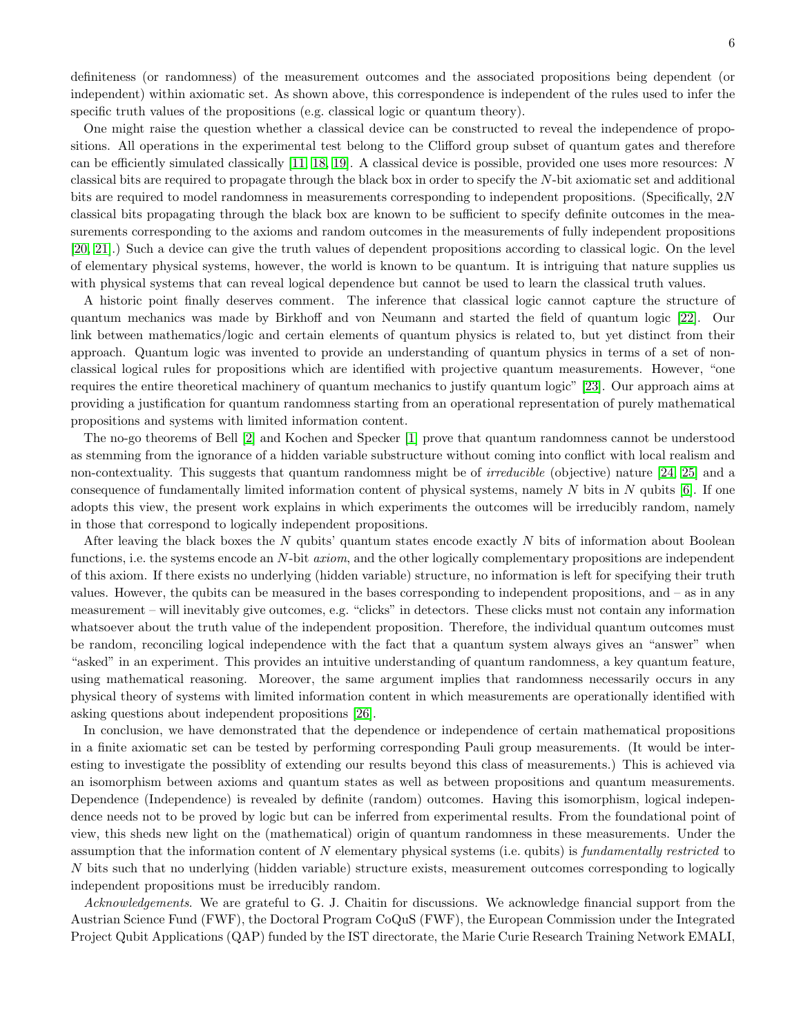definiteness (or randomness) of the measurement outcomes and the associated propositions being dependent (or independent) within axiomatic set. As shown above, this correspondence is independent of the rules used to infer the specific truth values of the propositions (e.g. classical logic or quantum theory).

One might raise the question whether a classical device can be constructed to reveal the independence of propositions. All operations in the experimental test belong to the Clifford group subset of quantum gates and therefore can be efficiently simulated classically [\[11,](#page-8-11) [18,](#page-8-17) [19\]](#page-8-18). A classical device is possible, provided one uses more resources: N classical bits are required to propagate through the black box in order to specify the N-bit axiomatic set and additional bits are required to model randomness in measurements corresponding to independent propositions. (Specifically, 2N classical bits propagating through the black box are known to be sufficient to specify definite outcomes in the measurements corresponding to the axioms and random outcomes in the measurements of fully independent propositions [\[20,](#page-8-19) [21\]](#page-8-20).) Such a device can give the truth values of dependent propositions according to classical logic. On the level of elementary physical systems, however, the world is known to be quantum. It is intriguing that nature supplies us with physical systems that can reveal logical dependence but cannot be used to learn the classical truth values.

A historic point finally deserves comment. The inference that classical logic cannot capture the structure of quantum mechanics was made by Birkhoff and von Neumann and started the field of quantum logic [\[22\]](#page-8-21). Our link between mathematics/logic and certain elements of quantum physics is related to, but yet distinct from their approach. Quantum logic was invented to provide an understanding of quantum physics in terms of a set of nonclassical logical rules for propositions which are identified with projective quantum measurements. However, "one requires the entire theoretical machinery of quantum mechanics to justify quantum logic" [\[23\]](#page-8-22). Our approach aims at providing a justification for quantum randomness starting from an operational representation of purely mathematical propositions and systems with limited information content.

The no-go theorems of Bell [\[2\]](#page-8-3) and Kochen and Specker [\[1\]](#page-8-2) prove that quantum randomness cannot be understood as stemming from the ignorance of a hidden variable substructure without coming into conflict with local realism and non-contextuality. This suggests that quantum randomness might be of *irreducible* (objective) nature [\[24,](#page-8-23) [25\]](#page-8-24) and a consequence of fundamentally limited information content of physical systems, namely  $N$  bits in  $N$  qubits [\[6\]](#page-8-7). If one adopts this view, the present work explains in which experiments the outcomes will be irreducibly random, namely in those that correspond to logically independent propositions.

After leaving the black boxes the N qubits' quantum states encode exactly N bits of information about Boolean functions, i.e. the systems encode an N-bit *axiom*, and the other logically complementary propositions are independent of this axiom. If there exists no underlying (hidden variable) structure, no information is left for specifying their truth values. However, the qubits can be measured in the bases corresponding to independent propositions, and – as in any measurement – will inevitably give outcomes, e.g. "clicks" in detectors. These clicks must not contain any information whatsoever about the truth value of the independent proposition. Therefore, the individual quantum outcomes must be random, reconciling logical independence with the fact that a quantum system always gives an "answer" when "asked" in an experiment. This provides an intuitive understanding of quantum randomness, a key quantum feature, using mathematical reasoning. Moreover, the same argument implies that randomness necessarily occurs in any physical theory of systems with limited information content in which measurements are operationally identified with asking questions about independent propositions [\[26\]](#page-8-25).

In conclusion, we have demonstrated that the dependence or independence of certain mathematical propositions in a finite axiomatic set can be tested by performing corresponding Pauli group measurements. (It would be interesting to investigate the possiblity of extending our results beyond this class of measurements.) This is achieved via an isomorphism between axioms and quantum states as well as between propositions and quantum measurements. Dependence (Independence) is revealed by definite (random) outcomes. Having this isomorphism, logical independence needs not to be proved by logic but can be inferred from experimental results. From the foundational point of view, this sheds new light on the (mathematical) origin of quantum randomness in these measurements. Under the assumption that the information content of N elementary physical systems (i.e. qubits) is *fundamentally restricted* to N bits such that no underlying (hidden variable) structure exists, measurement outcomes corresponding to logically independent propositions must be irreducibly random.

Acknowledgements. We are grateful to G. J. Chaitin for discussions. We acknowledge financial support from the Austrian Science Fund (FWF), the Doctoral Program CoQuS (FWF), the European Commission under the Integrated Project Qubit Applications (QAP) funded by the IST directorate, the Marie Curie Research Training Network EMALI,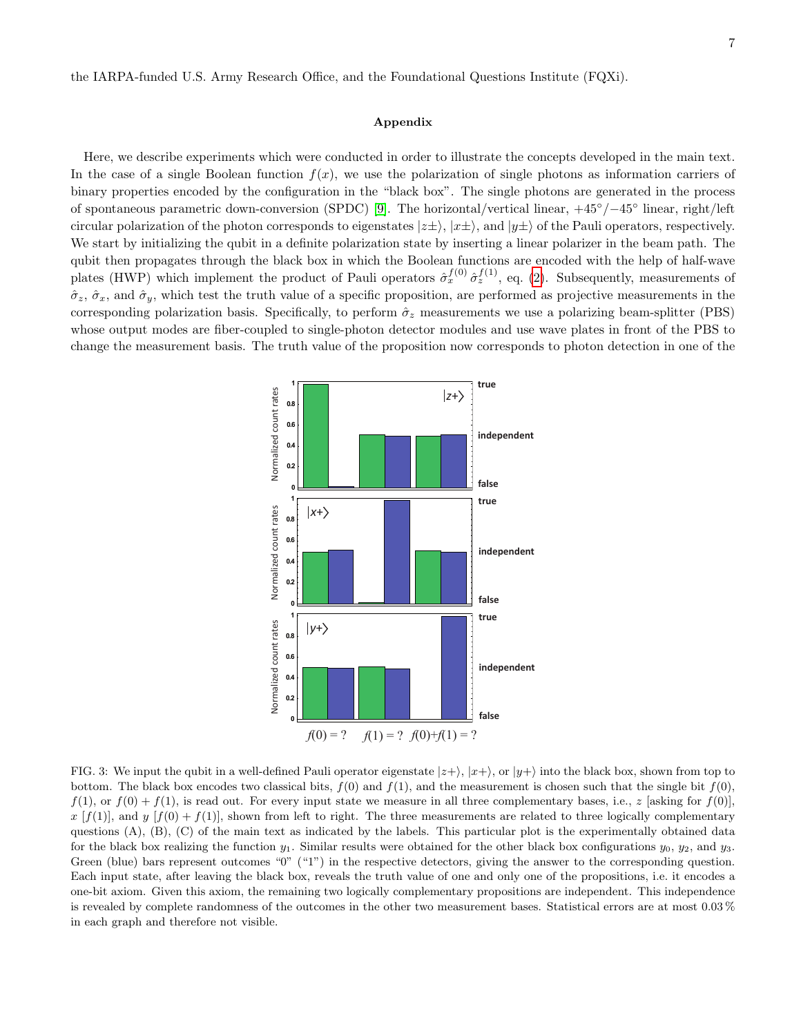the IARPA-funded U.S. Army Research Office, and the Foundational Questions Institute (FQXi).

## Appendix

Here, we describe experiments which were conducted in order to illustrate the concepts developed in the main text. In the case of a single Boolean function  $f(x)$ , we use the polarization of single photons as information carriers of binary properties encoded by the configuration in the "black box". The single photons are generated in the process of spontaneous parametric down-conversion (SPDC) [\[9\]](#page-8-26). The horizontal/vertical linear, +45◦/−45◦ linear, right/left circular polarization of the photon corresponds to eigenstates  $|z\pm\rangle$ ,  $|x\pm\rangle$ , and  $|y\pm\rangle$  of the Pauli operators, respectively. We start by initializing the qubit in a definite polarization state by inserting a linear polarizer in the beam path. The qubit then propagates through the black box in which the Boolean functions are encoded with the help of half-wave plates (HWP) which implement the product of Pauli operators  $\hat{\sigma}_x^{f(0)} \hat{\sigma}_z^{f(1)}$ , eq. [\(2\)](#page-2-0). Subsequently, measurements of  $\hat{\sigma}_z$ ,  $\hat{\sigma}_x$ , and  $\hat{\sigma}_y$ , which test the truth value of a specific proposition, are performed as projective measurements in the corresponding polarization basis. Specifically, to perform  $\hat{\sigma}_z$  measurements we use a polarizing beam-splitter (PBS) whose output modes are fiber-coupled to single-photon detector modules and use wave plates in front of the PBS to change the measurement basis. The truth value of the proposition now corresponds to photon detection in one of the



<span id="page-6-0"></span>FIG. 3: We input the qubit in a well-defined Pauli operator eigenstate  $|z+\rangle$ ,  $|x+\rangle$ , or  $|y+\rangle$  into the black box, shown from top to bottom. The black box encodes two classical bits,  $f(0)$  and  $f(1)$ , and the measurement is chosen such that the single bit  $f(0)$ ,  $f(1)$ , or  $f(0) + f(1)$ , is read out. For every input state we measure in all three complementary bases, i.e., z [asking for  $f(0)$ ]. x  $[f(1)]$ , and y  $[f(0) + f(1)]$ , shown from left to right. The three measurements are related to three logically complementary questions (A), (B), (C) of the main text as indicated by the labels. This particular plot is the experimentally obtained data for the black box realizing the function  $y_1$ . Similar results were obtained for the other black box configurations  $y_0, y_2,$  and  $y_3$ . Green (blue) bars represent outcomes "0" ("1") in the respective detectors, giving the answer to the corresponding question. Each input state, after leaving the black box, reveals the truth value of one and only one of the propositions, i.e. it encodes a one-bit axiom. Given this axiom, the remaining two logically complementary propositions are independent. This independence is revealed by complete randomness of the outcomes in the other two measurement bases. Statistical errors are at most 0.03 % in each graph and therefore not visible.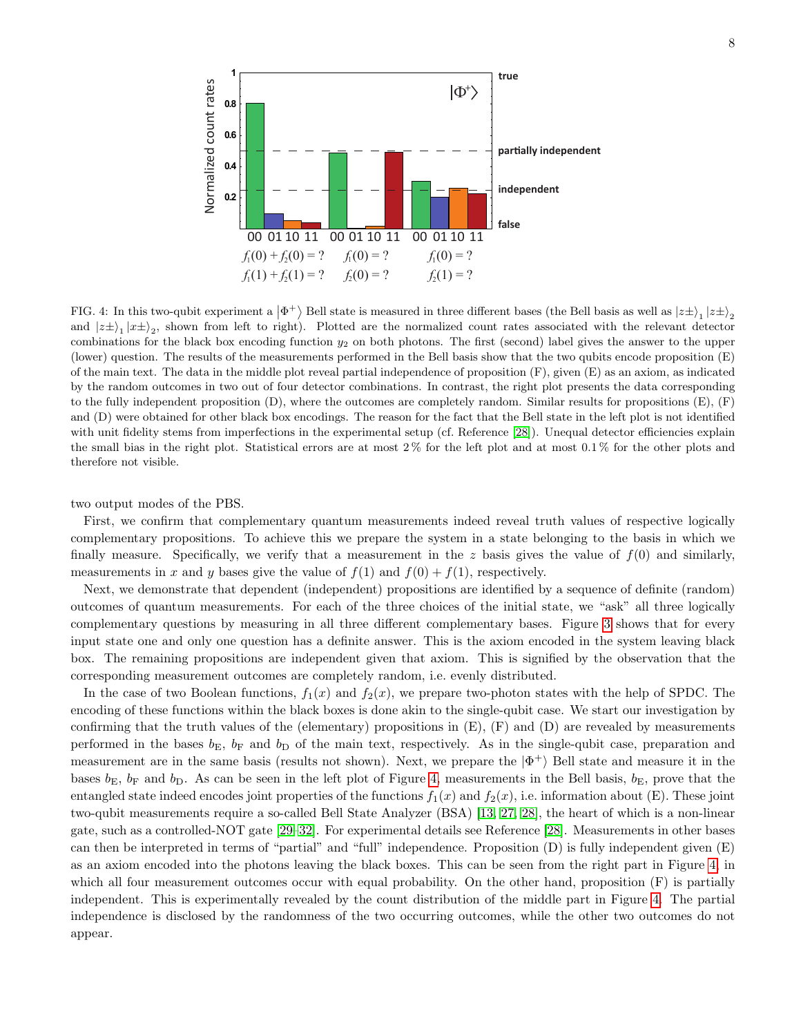

<span id="page-7-0"></span>FIG. 4: In this two-qubit experiment a  $|\Phi^+\rangle$  Bell state is measured in three different bases (the Bell basis as well as  $|z\pm\rangle_1 |z\pm\rangle_2$ and  $|z\pm\rangle_1|x\pm\rangle_2$ , shown from left to right). Plotted are the normalized count rates associated with the relevant detector combinations for the black box encoding function y<sup>2</sup> on both photons. The first (second) label gives the answer to the upper (lower) question. The results of the measurements performed in the Bell basis show that the two qubits encode proposition (E) of the main text. The data in the middle plot reveal partial independence of proposition  $(F)$ , given  $(E)$  as an axiom, as indicated by the random outcomes in two out of four detector combinations. In contrast, the right plot presents the data corresponding to the fully independent proposition (D), where the outcomes are completely random. Similar results for propositions (E), (F) and (D) were obtained for other black box encodings. The reason for the fact that the Bell state in the left plot is not identified with unit fidelity stems from imperfections in the experimental setup (cf. Reference [\[28\]](#page-8-27)). Unequal detector efficiencies explain the small bias in the right plot. Statistical errors are at most 2 % for the left plot and at most 0.1 % for the other plots and therefore not visible.

two output modes of the PBS.

First, we confirm that complementary quantum measurements indeed reveal truth values of respective logically complementary propositions. To achieve this we prepare the system in a state belonging to the basis in which we finally measure. Specifically, we verify that a measurement in the z basis gives the value of  $f(0)$  and similarly, measurements in x and y bases give the value of  $f(1)$  and  $f(0) + f(1)$ , respectively.

Next, we demonstrate that dependent (independent) propositions are identified by a sequence of definite (random) outcomes of quantum measurements. For each of the three choices of the initial state, we "ask" all three logically complementary questions by measuring in all three different complementary bases. Figure [3](#page-6-0) shows that for every input state one and only one question has a definite answer. This is the axiom encoded in the system leaving black box. The remaining propositions are independent given that axiom. This is signified by the observation that the corresponding measurement outcomes are completely random, i.e. evenly distributed.

In the case of two Boolean functions,  $f_1(x)$  and  $f_2(x)$ , we prepare two-photon states with the help of SPDC. The encoding of these functions within the black boxes is done akin to the single-qubit case. We start our investigation by confirming that the truth values of the (elementary) propositions in  $(E)$ ,  $(F)$  and  $(D)$  are revealed by measurements performed in the bases  $b_{\text{E}}$ ,  $b_{\text{F}}$  and  $b_{\text{D}}$  of the main text, respectively. As in the single-qubit case, preparation and measurement are in the same basis (results not shown). Next, we prepare the  $|\Phi^+\rangle$  Bell state and measure it in the bases  $b_{\text{E}}$ ,  $b_{\text{F}}$  and  $b_{\text{D}}$ . As can be seen in the left plot of Figure [4,](#page-7-0) measurements in the Bell basis,  $b_{\text{E}}$ , prove that the entangled state indeed encodes joint properties of the functions  $f_1(x)$  and  $f_2(x)$ , i.e. information about (E). These joint two-qubit measurements require a so-called Bell State Analyzer (BSA) [\[13,](#page-8-13) [27,](#page-8-28) [28\]](#page-8-27), the heart of which is a non-linear gate, such as a controlled-NOT gate [\[29–](#page-8-29)[32\]](#page-8-30). For experimental details see Reference [\[28\]](#page-8-27). Measurements in other bases can then be interpreted in terms of "partial" and "full" independence. Proposition (D) is fully independent given (E) as an axiom encoded into the photons leaving the black boxes. This can be seen from the right part in Figure [4,](#page-7-0) in which all four measurement outcomes occur with equal probability. On the other hand, proposition (F) is partially independent. This is experimentally revealed by the count distribution of the middle part in Figure [4.](#page-7-0) The partial independence is disclosed by the randomness of the two occurring outcomes, while the other two outcomes do not appear.